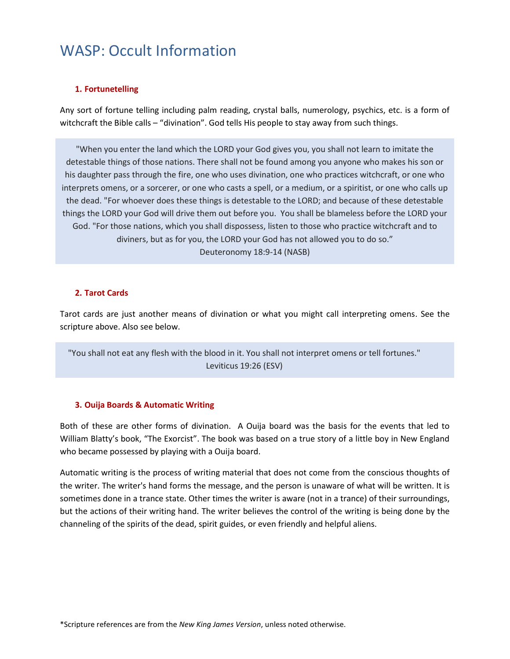# **1. Fortunetelling**

Any sort of fortune telling including palm reading, crystal balls, numerology, psychics, etc. is a form of witchcraft the Bible calls – "divination". God tells His people to stay away from such things.

"When you enter the land which the LORD your God gives you, you shall not learn to imitate the detestable things of those nations. There shall not be found among you anyone who makes his son or his daughter pass through the fire, one who uses divination, one who practices witchcraft, or one who interprets omens, or a sorcerer, or one who casts a spell, or a medium, or a spiritist, or one who calls up the dead. "For whoever does these things is detestable to the LORD; and because of these detestable things the LORD your God will drive them out before you. You shall be blameless before the LORD your God. "For those nations, which you shall dispossess, listen to those who practice witchcraft and to diviners, but as for you, the LORD your God has not allowed you to do so." Deuteronomy 18:9-14 (NASB)

## **2. Tarot Cards**

Tarot cards are just another means of divination or what you might call interpreting omens. See the scripture above. Also see below.

"You shall not eat any flesh with the blood in it. You shall not interpret omens or tell fortunes." Leviticus 19:26 (ESV)

### **3. Ouija Boards & Automatic Writing**

Both of these are other forms of divination. A Ouija board was the basis for the events that led to William Blatty's book, "The Exorcist". The book was based on a true story of a little boy in New England who became possessed by playing with a Ouija board.

Automatic writing is the process of writing material that does not come from the conscious thoughts of the writer. The writer's hand forms the message, and the person is unaware of what will be written. It is sometimes done in a trance state. Other times the writer is aware (not in a trance) of their surroundings, but the actions of their writing hand. The writer believes the control of the writing is being done by the channeling of the spirits of the dead, spirit guides, or even friendly and helpful aliens.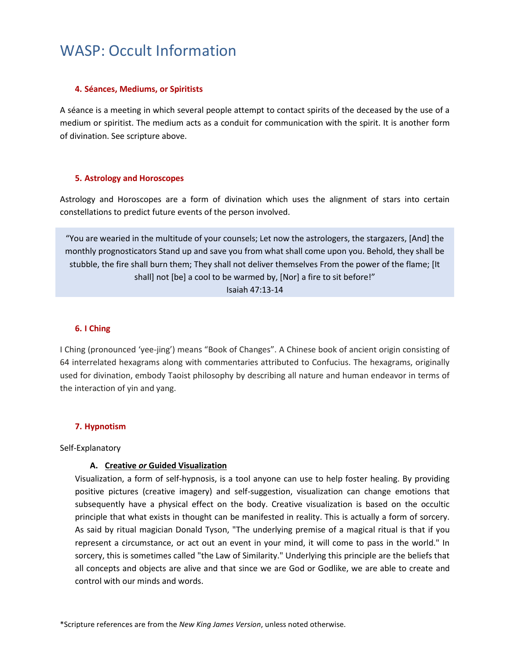## **4. Séances, Mediums, or Spiritists**

A séance is a meeting in which several people attempt to contact spirits of the deceased by the use of a medium or spiritist. The medium acts as a conduit for communication with the spirit. It is another form of divination. See scripture above.

## **5. Astrology and Horoscopes**

Astrology and Horoscopes are a form of divination which uses the alignment of stars into certain constellations to predict future events of the person involved.

"You are wearied in the multitude of your counsels; Let now the astrologers, the stargazers, [And] the monthly prognosticators Stand up and save you from what shall come upon you. Behold, they shall be stubble, the fire shall burn them; They shall not deliver themselves From the power of the flame; [It shall] not [be] a cool to be warmed by, [Nor] a fire to sit before!" Isaiah 47:13-14

## **6. I Ching**

I Ching (pronounced 'yee-jing') means "Book of Changes". A Chinese book of ancient origin consisting of 64 interrelated hexagrams along with commentaries attributed to Confucius. The hexagrams, originally used for divination, embody Taoist philosophy by describing all nature and human endeavor in terms of the interaction of yin and yang.

# **7. Hypnotism**

Self-Explanatory

# **A. Creative** *or* **Guided Visualization**

Visualization, a form of self-hypnosis, is a tool anyone can use to help foster healing. By providing positive pictures (creative imagery) and self-suggestion, visualization can change emotions that subsequently have a physical effect on the body. Creative visualization is based on the occultic principle that what exists in thought can be manifested in reality. This is actually a form of sorcery. As said by ritual magician Donald Tyson, "The underlying premise of a magical ritual is that if you represent a circumstance, or act out an event in your mind, it will come to pass in the world." In sorcery, this is sometimes called "the Law of Similarity." Underlying this principle are the beliefs that all concepts and objects are alive and that since we are God or Godlike, we are able to create and control with our minds and words.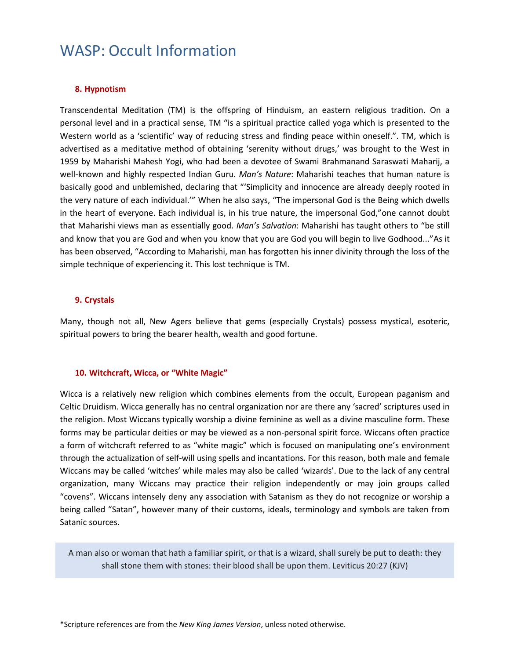# **8. Hypnotism**

Transcendental Meditation (TM) is the offspring of Hinduism, an eastern religious tradition. On a personal level and in a practical sense, TM "is a spiritual practice called yoga which is presented to the Western world as a 'scientific' way of reducing stress and finding peace within oneself.". TM, which is advertised as a meditative method of obtaining 'serenity without drugs,' was brought to the West in 1959 by Maharishi Mahesh Yogi, who had been a devotee of Swami Brahmanand Saraswati Maharij, a well-known and highly respected Indian Guru. *Man's Nature*: Maharishi teaches that human nature is basically good and unblemished, declaring that "'Simplicity and innocence are already deeply rooted in the very nature of each individual.'" When he also says, "The impersonal God is the Being which dwells in the heart of everyone. Each individual is, in his true nature, the impersonal God,"one cannot doubt that Maharishi views man as essentially good. *Man's Salvation*: Maharishi has taught others to "be still and know that you are God and when you know that you are God you will begin to live Godhood..."As it has been observed, "According to Maharishi, man has forgotten his inner divinity through the loss of the simple technique of experiencing it. This lost technique is TM.

### **9. Crystals**

Many, though not all, New Agers believe that gems (especially Crystals) possess mystical, esoteric, spiritual powers to bring the bearer health, wealth and good fortune.

### **10. Witchcraft, Wicca, or "White Magic"**

Wicca is a relatively new religion which combines elements from the occult, European paganism and Celtic Druidism. Wicca generally has no central organization nor are there any 'sacred' scriptures used in the religion. Most Wiccans typically worship a divine feminine as well as a divine masculine form. These forms may be particular deities or may be viewed as a non-personal spirit force. Wiccans often practice a form of witchcraft referred to as "white magic" which is focused on manipulating one's environment through the actualization of self-will using spells and incantations. For this reason, both male and female Wiccans may be called 'witches' while males may also be called 'wizards'. Due to the lack of any central organization, many Wiccans may practice their religion independently or may join groups called "covens". Wiccans intensely deny any association with Satanism as they do not recognize or worship a being called "Satan", however many of their customs, ideals, terminology and symbols are taken from Satanic sources.

A man also or woman that hath a familiar spirit, or that is a wizard, shall surely be put to death: they shall stone them with stones: their blood shall be upon them. Leviticus 20:27 (KJV)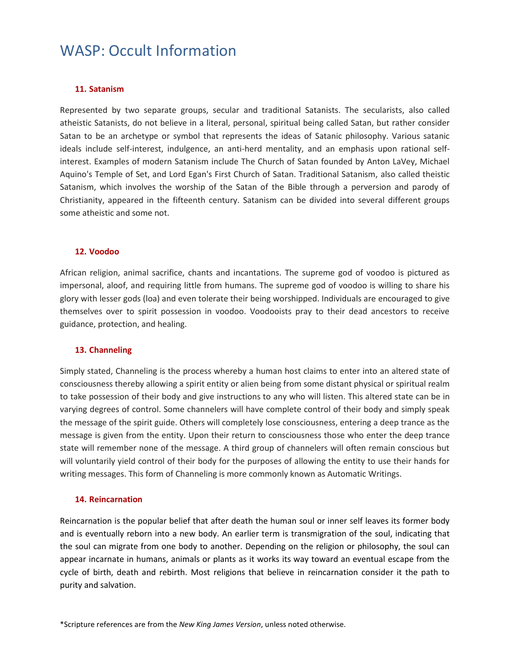## **11. Satanism**

Represented by two separate groups, secular and traditional Satanists. The secularists, also called atheistic Satanists, do not believe in a literal, personal, spiritual being called Satan, but rather consider Satan to be an archetype or symbol that represents the ideas of Satanic philosophy. Various satanic ideals include self-interest, indulgence, an anti-herd mentality, and an emphasis upon rational selfinterest. Examples of modern Satanism include The Church of Satan founded by Anton LaVey, Michael Aquino's Temple of Set, and Lord Egan's First Church of Satan. Traditional Satanism, also called theistic Satanism, which involves the worship of the Satan of the Bible through a perversion and parody of Christianity, appeared in the fifteenth century. Satanism can be divided into several different groups some atheistic and some not.

### **12. Voodoo**

African religion, animal sacrifice, chants and incantations. The supreme god of voodoo is pictured as impersonal, aloof, and requiring little from humans. The supreme god of voodoo is willing to share his glory with lesser gods (loa) and even tolerate their being worshipped. Individuals are encouraged to give themselves over to spirit possession in voodoo. Voodooists pray to their dead ancestors to receive guidance, protection, and healing.

#### **13. Channeling**

Simply stated, Channeling is the process whereby a human host claims to enter into an altered state of consciousness thereby allowing a spirit entity or alien being from some distant physical or spiritual realm to take possession of their body and give instructions to any who will listen. This altered state can be in varying degrees of control. Some channelers will have complete control of their body and simply speak the message of the spirit guide. Others will completely lose consciousness, entering a deep trance as the message is given from the entity. Upon their return to consciousness those who enter the deep trance state will remember none of the message. A third group of channelers will often remain conscious but will voluntarily yield control of their body for the purposes of allowing the entity to use their hands for writing messages. This form of Channeling is more commonly known as Automatic Writings.

#### **14. Reincarnation**

Reincarnation is the popular belief that after death the human soul or inner self leaves its former body and is eventually reborn into a new body. An earlier term is transmigration of the soul, indicating that the soul can migrate from one body to another. Depending on the religion or philosophy, the soul can appear incarnate in humans, animals or plants as it works its way toward an eventual escape from the cycle of birth, death and rebirth. Most religions that believe in reincarnation consider it the path to purity and salvation.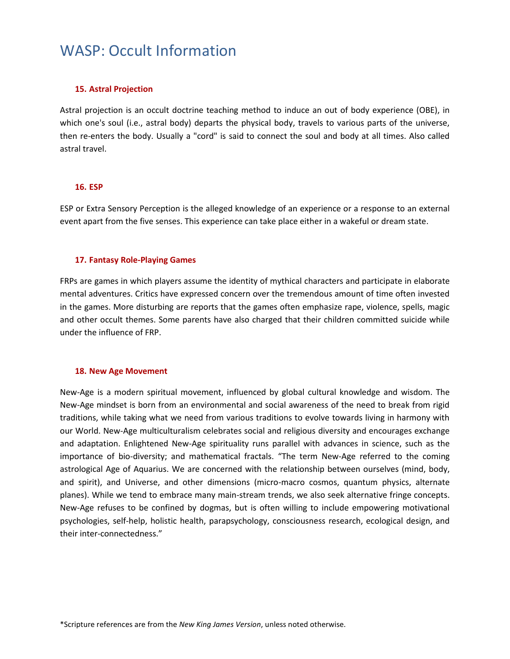### **15. Astral Projection**

Astral projection is an occult doctrine teaching method to induce an out of body experience (OBE), in which one's soul (i.e., astral body) departs the physical body, travels to various parts of the universe, then re-enters the body. Usually a "cord" is said to connect the soul and body at all times. Also called astral travel.

### **16. ESP**

ESP or Extra Sensory Perception is the alleged knowledge of an experience or a response to an external event apart from the five senses. This experience can take place either in a wakeful or dream state.

#### **17. Fantasy Role-Playing Games**

FRPs are games in which players assume the identity of mythical characters and participate in elaborate mental adventures. Critics have expressed concern over the tremendous amount of time often invested in the games. More disturbing are reports that the games often emphasize rape, violence, spells, magic and other occult themes. Some parents have also charged that their children committed suicide while under the influence of FRP.

#### **18. New Age Movement**

New-Age is a modern spiritual movement, influenced by global cultural knowledge and wisdom. The New-Age mindset is born from an environmental and social awareness of the need to break from rigid traditions, while taking what we need from various traditions to evolve towards living in harmony with our World. New-Age multiculturalism celebrates social and religious diversity and encourages exchange and adaptation. Enlightened New-Age spirituality runs parallel with advances in science, such as the importance of bio-diversity; and mathematical fractals. "The term New-Age referred to the coming astrological Age of Aquarius. We are concerned with the relationship between ourselves (mind, body, and spirit), and Universe, and other dimensions (micro-macro cosmos, quantum physics, alternate planes). While we tend to embrace many main-stream trends, we also seek alternative fringe concepts. New-Age refuses to be confined by dogmas, but is often willing to include empowering motivational psychologies, self-help, holistic health, parapsychology, consciousness research, ecological design, and their inter-connectedness."